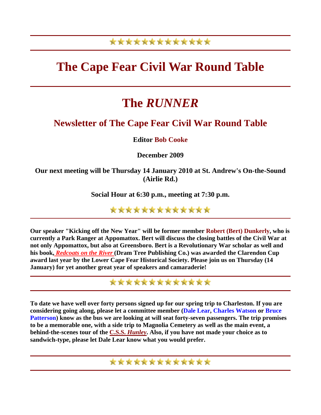### \*\*\*\*\*\*\*\*\*\*\*\*\*

# **The Cape Fear Civil War Round Table**

# **The** *RUNNER*

### **Newsletter of The Cape Fear Civil War Round Table**

#### **Editor Bob Cooke**

**December 2009** 

**Our next meeting will be Thursday 14 January 2010 at St. Andrew's On-the-Sound (Airlie Rd.)** 

**Social Hour at 6:30 p.m., meeting at 7:30 p.m.** 

\*\*\*\*\*\*\*\*\*\*\*\*\*

**Our speaker "Kicking off the New Year" will be former member Robert (Bert) Dunkerly, who is currently a Park Ranger at Appomattox. Bert will discuss the closing battles of the Civil War at not only Appomattox, but also at Greensboro. Bert is a Revolutionary War scholar as well and his book,** *[Redcoats on the River](http://www.dramtreebooks.com/gallery/cat/dramtreetitles.html)* **(Dram Tree Publishing Co.) was awarded the Clarendon Cup award last year by the Lower Cape Fear Historical Society. Please join us on Thursday (14 January) for yet another great year of speakers and camaraderie!** 

\*\*\*\*\*\*\*\*\*\*\*\*\*

**To date we have well over forty persons signed up for our spring trip to Charleston. If you are considering going along, please let a committee member (Dale Lear, Charles Watson or Bruce Patterson) know as the bus we are looking at will seat forty-seven passengers. The trip promises to be a memorable one, with a side trip to Magnolia Cemetery as well as the main event, a behind-the-scenes tour of the C.S.S.** *[Hunley](http://www.hunley.org/)***. Also, if you have not made your choice as to sandwich-type, please let Dale Lear know what you would prefer.**